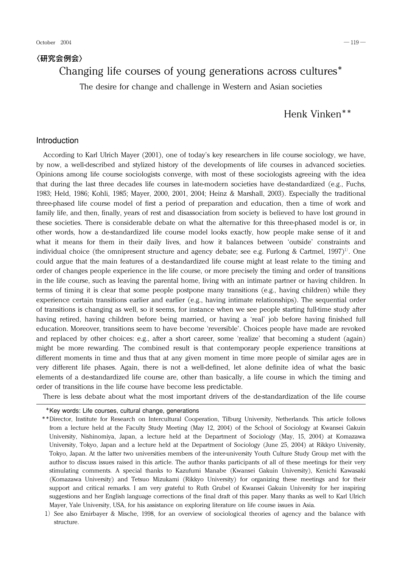## 〈研究会例会〉

# Changing life courses of young generations across cultures\*

The desire for change and challenge in Western and Asian societies

# Henk Vinken\*\*

### Introduction

According to Karl Ulrich Mayer (2001), one of today's key researchers in life course sociology, we have, by now, a well-described and stylized history of the developments of life courses in advanced societies. Opinions among life course sociologists converge, with most of these sociologists agreeing with the idea that during the last three decades life courses in late-modern societies have de-standardized (e.g., Fuchs, 1983; Held,1986; Kohli,1985; Mayer,2000,2001,2004; Heinz & Marshall,2003). Especially the traditional three-phased life course model of first a period of preparation and education, then a time of work and family life, and then, finally, years of rest and disassociation from society is believed to have lost ground in these societies. There is considerable debate on what the alternative for this three-phased model is or, in other words, how a de-standardized life course model looks exactly, how people make sense of it and what it means for them in their daily lives, and how it balances between 'outside' constraints and individual choice (the omnipresent structure and agency debate; see e.g. Furlong & Cartmel, 1997)<sup>1)</sup>. One could argue that the main features of a de-standardized life course might at least relate to the timing and order of changes people experience in the life course, or more precisely the timing and order of transitions in the life course, such as leaving the parental home, living with an intimate partner or having children. In terms of timing it is clear that some people postpone many transitions (e.g., having children) while they experience certain transitions earlier and earlier (e.g., having intimate relationships). The sequential order of transitions is changing as well, so it seems, for instance when we see people starting full-time study after having retired, having children before being married, or having a 'real' job before having finished full education. Moreover,transitions seem to have become 'reversible'. Choices people have made are revoked and replaced by other choices: e.g., after a short career, some 'realize' that becoming a student (again) might be more rewarding. The combined result is that contemporary people experience transitions at different moments in time and thus that at any given moment in time more people of similar ages are in very different life phases. Again, there is not a well-defined, let alone definite idea of what the basic elements of a de-standardized life course are, other than basically, a life course in which the timing and order of transitions in the life course have become less predictable.

There is less debate about what the most important drivers of the de-standardization of the life course

\*Key words: Life courses, cultural change, generations

<sup>\*\*</sup>Director, Institute for Research on Intercultural Cooperation, Tilburg University, Netherlands. This article follows from a lecture held at the Faculty Study Meeting (May 12,2004) of the School of Sociology at Kwansei Gakuin University, Nishinomiya, Japan, a lecture held at the Department of Sociology (May, 15, 2004) at Komazawa University, Tokyo, Japan and a lecture held at the Department of Sociology (June 25, 2004) at Rikkyo University, Tokyo, Japan. At the latter two universities members of the inter-university Youth Culture Study Group met with the author to discuss issues raised in this article. The author thanks participants of all of these meetings for their very stimulating comments. A special thanks to Kazufumi Manabe (Kwansei Gakuin University), Kenichi Kawasaki (Komazawa University) and Tetsuo Mizukami (Rikkyo University) for organizing these meetings and for their support and critical remarks. I am very grateful to Ruth Grubel of Kwansei Gakuin University for her inspiring suggestions and her English language corrections of the final draft of this paper. Many thanks as well to Karl Ulrich Mayer, Yale University, USA, for his assistance on exploring literature on life course issues in Asia.

<sup>1)</sup> See also Emirbayer & Mische, 1998, for an overview of sociological theories of agency and the balance with structure.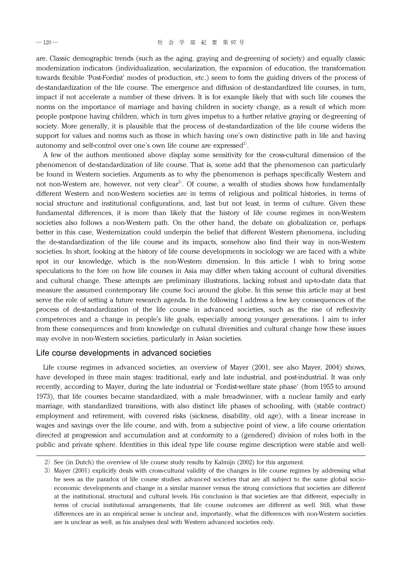are. Classic demographic trends (such as the aging, graying and de-greening of society) and equally classic modernization indicators (individualization, secularization, the expansion of education, the transformation towards flexible 'Post-Fordist' modes of production, etc.) seem to form the guiding drivers of the process of de-standardization of the life course. The emergence and diffusion of de-standardized life courses, in turn, impact if not accelerate a number of these drivers. It is for example likely that with such life courses the norms on the importance of marriage and having children in society change, as a result of which more people postpone having children, which in turn gives impetus to a further relative graying or de-greening of society. More generally, it is plausible that the process of de-standardization of the life course widens the support for values and norms such as those in which having one's own distinctive path in life and having autonomy and self-control over one's own life course are expressed<sup>2)</sup>.

A few of the authors mentioned above display some sensitivity for the cross-cultural dimension of the phenomenon of de-standardization of life course. That is, some add that the phenomenon can particularly be found in Western societies. Arguments as to why the phenomenon is perhaps specifically Western and not non-Western are, however, not very clear<sup>3)</sup>. Of course, a wealth of studies shows how fundamentally different Western and non-Western societies are in terms of religious and political histories, in terms of social structure and institutional configurations, and, last but not least, in terms of culture. Given these fundamental differences, it is more than likely that the history of life course regimes in non-Western societies also follows a non-Western path. On the other hand, the debate on globalization or, perhaps better in this case, Westernization could underpin the belief that different Western phenomena, including the de-standardization of the life course and its impacts, somehow also find their way in non-Western societies. In short, looking at the history of life course developments in sociology we are faced with a white spot in our knowledge, which is the non-Western dimension. In this article I wish to bring some speculations to the fore on how life courses in Asia may differ when taking account of cultural diversities and cultural change. These attempts are preliminary illustrations, lacking robust and up-to-date data that measure the assumed contemporary life course foci around the globe. In this sense this article may at best serve the role of setting a future research agenda. In the following I address a few key consequences of the process of de-standardization of the life course in advanced societies, such as the rise of reflexivity competences and a change in people's life goals, especially among younger generations. I aim to infer from these consequences and from knowledge on cultural diversities and cultural change how these issues may evolve in non-Western societies, particularly in Asian societies.

### Life course developments in advanced societies

Life course regimes in advanced societies, an overview of Mayer (2001, see also Mayer, 2004) shows, have developed in three main stages: traditional, early and late industrial, and post-industrial. It was only recently, according to Mayer, during the late industrial or 'Fordist-welfare state phase' (from 1955 to around 1973), that life courses became standardized, with a male breadwinner, with a nuclear family and early marriage, with standardized transitions, with also distinct life phases of schooling, with (stable contract) employment and retirement, with covered risks (sickness, disability, old age), with a linear increase in wages and savings over the life course, and with, from a subjective point of view, a life course orientation directed at progression and accumulation and at conformity to a (gendered) division of roles both in the public and private sphere. Identities in this ideal type life course regime description were stable and well-

 $2)$  See (in Dutch) the overview of life course study results by Kalmijn (2002) for this argument.

<sup>3)</sup> Mayer (2001) explicitly deals with cross-cultural validity of the changes in life course regimes by addressing what he sees as the paradox of life course studies: advanced societies that are all subject to the same global socioeconomic developments and change in a similar manner versus the strong convictions that societies are different at the institutional, structural and cultural levels. His conclusion is that societies are that different, especially in terms of crucial institutional arrangements, that life course outcomes are different as well. Still, what these differences are in an empirical sense is unclear and, importantly, what the differences with non-Western societies are is unclear as well, as his analyses deal with Western advanced societies only.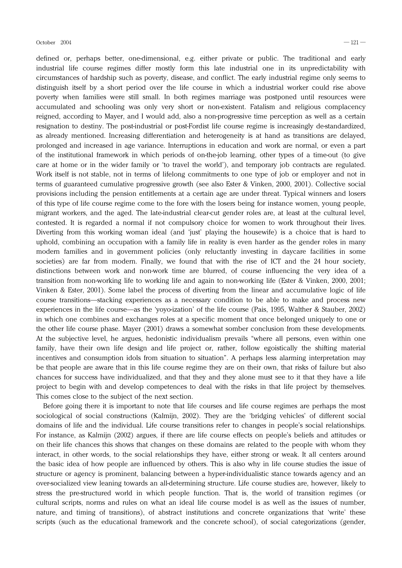defined or, perhaps better, one-dimensional, e.g. either private or public. The traditional and early industrial life course regimes differ mostly form this late industrial one in its unpredictability with circumstances of hardship such as poverty, disease, and conflict. The early industrial regime only seems to distinguish itself by a short period over the life course in which a industrial worker could rise above poverty when families were still small. In both regimes marriage was postponed until resources were accumulated and schooling was only very short or non-existent. Fatalism and religious complacency reigned, according to Mayer, and I would add, also a non-progressive time perception as well as a certain resignation to destiny. The post-industrial or post-Fordist life course regime is increasingly de-standardized, as already mentioned. Increasing differentiation and heterogeneity is at hand as transitions are delayed, prolonged and increased in age variance. Interruptions in education and work are normal, or even a part of the institutional framework in which periods of on-the-job learning,other types of a time-out (to give care at home or in the wider family or 'to travel the world'), and temporary job contracts are regulated. Work itself is not stable, not in terms of lifelong commitments to one type of job or employer and not in terms of guaranteed cumulative progressive growth (see also Ester & Vinken,2000,2001). Collective social provisions including the pension entitlements at a certain age are under threat. Typical winners and losers of this type of life course regime come to the fore with the losers being for instance women,young people, migrant workers, and the aged. The late-industrial clear-cut gender roles are, at least at the cultural level, contested. It is regarded a normal if not compulsory choice for women to work throughout their lives. Diverting from this working woman ideal (and 'just' playing the housewife) is a choice that is hard to uphold, combining an occupation with a family life in reality is even harder as the gender roles in many modern families and in government policies (only reluctantly investing in daycare facilities in some societies) are far from modern. Finally, we found that with the rise of ICT and the 24 hour society, distinctions between work and non-work time are blurred, of course influencing the very idea of a transition from non-working life to working life and again to non-working life (Ester & Vinken, 2000, 2001; Vinken & Ester, 2001). Some label the process of diverting from the linear and accumulative logic of life course transitions―stacking experiences as a necessary condition to be able to make and process new experiences in the life course—as the 'yoyo-ization' of the life course (Pais, 1995, Walther & Stauber, 2002) in which one combines and exchanges roles at a specific moment that once belonged uniquely to one or the other life course phase. Mayer (2001) draws a somewhat somber conclusion from these developments. At the subjective level, he argues, hedonistic individualism prevails "where all persons, even within one family, have their own life design and life project or, rather, follow egoistically the shifting material incentives and consumption idols from situation to situation". A perhaps less alarming interpretation may be that people are aware that in this life course regime they are on their own, that risks of failure but also chances for success have individualized, and that they and they alone must see to it that they have a life project to begin with and develop competences to deal with the risks in that life project by themselves. This comes close to the subject of the next section.

Before going there it is important to note that life courses and life course regimes are perhaps the most sociological of social constructions (Kalmijn, 2002). They are the 'bridging vehicles' of different social domains of life and the individual. Life course transitions refer to changes in people's social relationships. For instance, as Kalmijn (2002) argues, if there are life course effects on people's beliefs and attitudes or on their life chances this shows that changes on these domains are related to the people with whom they interact, in other words, to the social relationships they have, either strong or weak. It all centers around the basic idea of how people are influenced by others. This is also why in life course studies the issue of structure or agency is prominent, balancing between a hyper-individualistic stance towards agency and an over-socialized view leaning towards an all-determining structure. Life course studies are, however, likely to stress the pre-structured world in which people function. That is, the world of transition regimes (or cultural scripts, norms and rules on what an ideal life course model is as well as the issues of number, nature, and timing of transitions), of abstract institutions and concrete organizations that 'write' these scripts (such as the educational framework and the concrete school), of social categorizations (gender,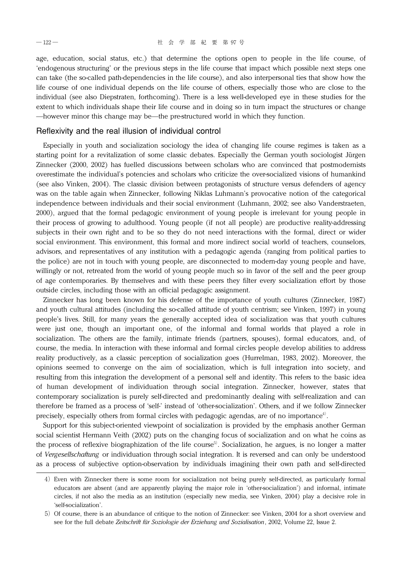age, education, social status, etc.) that determine the options open to people in the life course, of 'endogenous structuring' or the previous steps in the life course that impact which possible next steps one can take (the so-called path-dependencies in the life course), and also interpersonal ties that show how the life course of one individual depends on the life course of others, especially those who are close to the individual (see also Diepstraten, forthcoming). There is a less well-developed eye in these studies for the extent to which individuals shape their life course and in doing so in turn impact the structures or change ―however minor this change may be―the pre-structured world in which they function.

### Reflexivity and the real illusion of individual control

Especially in youth and socialization sociology the idea of changing life course regimes is taken as a starting point for a revitalization of some classic debates. Especially the German youth sociologist Jürgen Zinnecker (2000, 2002) has fuelled discussions between scholars who are convinced that postmodernists overestimate the individual's potencies and scholars who criticize the over-socialized visions of humankind (see also Vinken, 2004). The classic division between protagonists of structure versus defenders of agency was on the table again when Zinnecker, following Niklas Luhmann's provocative notion of the categorical independence between individuals and their social environment (Luhmann,2002; see also Vanderstraeten, 2000), argued that the formal pedagogic environment of young people is irrelevant for young people in their process of growing to adulthood. Young people (if not all people) are productive reality-addressing subjects in their own right and to be so they do not need interactions with the formal, direct or wider social environment. This environment, this formal and more indirect social world of teachers, counselors, advisors,and representatives of any institution with a pedagogic agenda (ranging from political parties to the police) are not in touch with young people, are disconnected to modern-day young people and have, willingly or not, retreated from the world of young people much so in favor of the self and the peer group of age contemporaries. By themselves and with these peers they filter every socialization effort by those outside circles, including those with an official pedagogic assignment.

Zinnecker has long been known for his defense of the importance of youth cultures (Zinnecker,1987) and youth cultural attitudes (including the so-called attitude of youth centrism; see Vinken,1997) in young people's lives. Still, for many years the generally accepted idea of socialization was that youth cultures were just one, though an important one, of the informal and formal worlds that played a role in socialization. The others are the family, intimate friends (partners, spouses), formal educators, and, of course, the media. In interaction with these informal and formal circles people develop abilities to address reality productively, as a classic perception of socialization goes (Hurrelman, 1983, 2002). Moreover, the opinions seemed to converge on the aim of socialization, which is full integration into society, and resulting from this integration the development of a personal self and identity. This refers to the basic idea of human development of individuation through social integration. Zinnecker, however, states that contemporary socialization is purely self-directed and predominantly dealing with self-realization and can therefore be framed as a process of 'self-' instead of 'other-socialization'. Others, and if we follow Zinnecker precisely, especially others from formal circles with pedagogic agendas, are of no importance<sup>4)</sup>.

Support for this subject-oriented viewpoint of socialization is provided by the emphasis another German social scientist Hermann Veith (2002) puts on the changing focus of socialization and on what he coins as the process of reflexive biographization of the life course<sup>5)</sup>. Socialization, he argues, is no longer a matter of *Vergesellschaftung* or individuation through social integration. It is reversed and can only be understood as a process of subjective option-observation by individuals imagining their own path and self-directed

<sup>4)</sup> Even with Zinnecker there is some room for socialization not being purely self-directed, as particularly formal educators are absent (and are apparently playing the major role in 'other-socialization') and informal, intimate circles, if not also the media as an institution (especially new media, see Vinken, 2004) play a decisive role in 'self-socialization'.

<sup>5)</sup> Of course, there is an abundance of critique to the notion of Zinnecker: see Vinken, 2004 for a short overview and see for the full debate Zeitschrift für Soziologie der Erziehung und Sozialisation, 2002, Volume 22, Issue 2.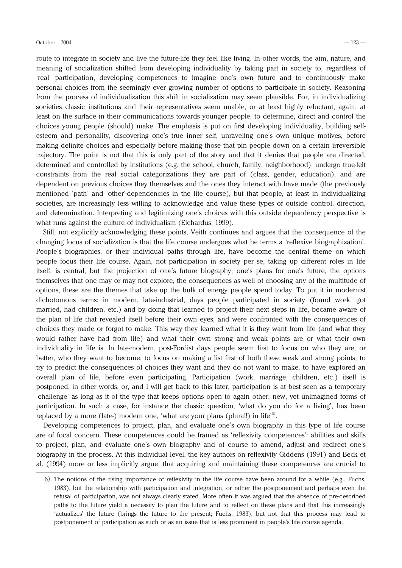route to integrate in society and live the future-life they feel like living. In other words, the aim, nature, and meaning of socialization shifted from developing individuality by taking part in society to, regardless of 'real' participation, developing competences to imagine one's own future and to continuously make personal choices from the seemingly ever growing number of options to participate in society. Reasoning from the process of individualization this shift in socialization may seem plausible. For, in individualizing societies classic institutions and their representatives seem unable, or at least highly reluctant, again, at least on the surface in their communications towards younger people, to determine, direct and control the choices young people (should) make. The emphasis is put on first developing individuality, building selfesteem and personality, discovering one's true inner self, unraveling one's own unique motives, before making definite choices and especially before making those that pin people down on a certain irreversible trajectory. The point is not that this is only part of the story and that it denies that people are directed, determined and controlled by institutions (e.g. the school, church, family, neighborhood), undergo true-felt constraints from the real social categorizations they are part of (class, gender, education), and are dependent on previous choices they themselves and the ones they interact with have made (the previously mentioned 'path' and 'other'-dependencies in the life course), but that people, at least in individualizing societies, are increasingly less willing to acknowledge and value these types of outside control, direction, and determination. Interpreting and legitimizing one's choices with this outside dependency perspective is what runs against the culture of individualism (Elchardus,1999).

Still, not explicitly acknowledging these points, Veith continues and argues that the consequence of the changing focus of socialization is that the life course undergoes what he terms a 'reflexive biographization'. People's biographies, or their individual paths through life, have become the central theme on which people focus their life course. Again, not participation in society per se, taking up different roles in life itself, is central, but the projection of one's future biography, one's plans for one's future, the options themselves that one may or may not explore, the consequences as well of choosing any of the multitude of options, these are the themes that take up the bulk of energy people spend today. To put it in modernist dichotomous terms: in modern, late-industrial, days people participated in society (found work, got married, had children, etc.) and by doing that learned to project their next steps in life, became aware of the plan of life that revealed itself before their own eyes, and were confronted with the consequences of choices they made or forgot to make. This way they learned what it is they want from life (and what they would rather have had from life) and what their own strong and weak points are or what their own individuality in life is. In late-modern, post-Fordist days people seem first to focus on who they are, or better, who they want to become, to focus on making a list first of both these weak and strong points, to try to predict the consequences of choices they want and they do not want to make, to have explored an overall plan of life, before even participating. Participation (work, marriage, children, etc.) itself is postponed, in other words, or, and I will get back to this later, participation is at best seen as a temporary 'challenge' as long as it of the type that keeps options open to again other, new, yet unimagined forms of participation. In such a case, for instance the classic question, 'what do you do for a living', has been replaced by a more (late-) modern one, 'what are your plans (plural!) in life<sup> $6$ </sup>.

Developing competences to project, plan, and evaluate one's own biography in this type of life course are of focal concern. These competences could be framed as 'reflexivity competences': abilities and skills to project, plan, and evaluate one's own biography and of course to amend, adjust and redirect one's biography in the process. At this individual level, the key authors on reflexivity Giddens (1991) and Beck et al. (1994) more or less implicitly argue, that acquiring and maintaining these competences are crucial to

 $6)$  The notions of the rising importance of reflexivity in the life course have been around for a while (e.g., Fuchs, 1983), but the relationship with participation and integration, or rather the postponement and perhaps even the refusal of participation,was not always clearly stated. More often it was argued that the absence of pre-described paths to the future yield a necessity to plan the future and to reflect on these plans and that this increasingly 'actualizes' the future (brings the future to the present; Fuchs, 1983), but not that this process may lead to postponement of participation as such or as an issue that is less prominent in people's life course agenda.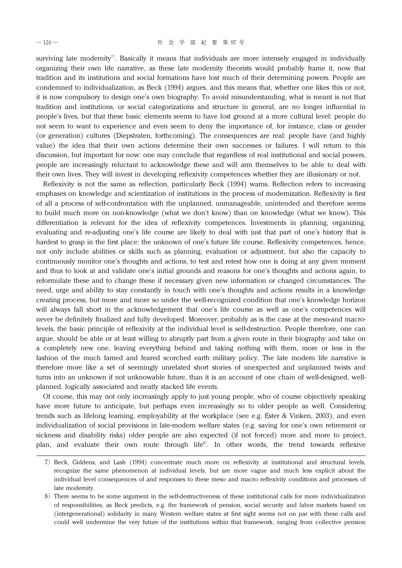surviving late modernity<sup>7)</sup>. Basically it means that individuals are more intensely engaged in individually organizing their own life narrative, as these late modernity theorists would probably frame it, now that tradition and its institutions and social formations have lost much of their determining powers. People are condemned to individualization, as Beck (1994) argues, and this means that, whether one likes this or not, it is now compulsory to design one's own biography. To avoid misunderstanding,what is meant is not that tradition and institutions, or social categorizations and structure in general, are no longer influential in people's lives,but that these basic elements seems to have lost ground at a more cultural level: people do not seem to want to experience and even seem to deny the importance of, for instance, class or gender (or generation) cultures (Diepstraten, forthcoming). The consequences are real: people have (and highly value) the idea that their own actions determine their own successes or failures. I will return to this discussion, but important for now: one may conclude that regardless of real institutional and social powers, people are increasingly reluctant to acknowledge these and will arm themselves to be able to deal with their own lives. They will invest in developing reflexivity competences whether they are illusionary or not.

Reflexivity is not the same as reflection, particularly Beck (1994) warns. Reflection refers to increasing emphases on knowledge and scientization of institutions in the process of modernization. Reflexivity is first of all a process of self-confrontation with the unplanned, unmanageable, unintended and therefore seems to build much more on non-knowledge (what we don't know) than on knowledge (what we know). This differentiation is relevant for the idea of reflexivity competences. Investments in planning, organizing, evaluating and re-adjusting one's life course are likely to deal with just that part of one's history that is hardest to grasp in the first place: the unknown of one's future life course. Reflexivity competences, hence, not only include abilities or skills such as planning, evaluation or adjustment, but also the capacity to continuously monitor one's thoughts and actions, to test and retest how one is doing at any given moment and thus to look at and validate one's initial grounds and reasons for one's thoughts and actions again, to reformulate these and to change these if necessary given new information or changed circumstances. The need, urge and ability to stay constantly in touch with one's thoughts and actions results in a knowledge creating process, but more and more so under the well-recognized condition that one's knowledge horizon will always fall short in the acknowledgement that one's life course as well as one's competences will never be definitely finalized and fully developed. Moreover, probably as is the case at the meso-and macrolevels, the basic principle of reflexivity at the individual level is self-destruction. People therefore, one can argue, should be able or at least willing to abruptly part from a given route in their biography and take on a completely new one, leaving everything behind and taking nothing with them, more or less in the fashion of the much famed and feared scorched earth military policy. The late modern life narrative is therefore more like a set of seemingly unrelated short stories of unexpected and unplanned twists and turns into an unknown if not unknowable future, than it is an account of one chain of well-designed, wellplanned, logically associated and neatly stacked life events.

Of course, this may not only increasingly apply to just young people, who of course objectively speaking have more future to anticipate, but perhaps even increasingly so to older people as well. Considering trends such as lifelong learning, employability at the workplace (see e.g. Ester & Vinken, 2003), and even individualization of social provisions in late-modern welfare states (e.g. saving for one's own retirement or sickness and disability risks) older people are also expected (if not forced) more and more to project, plan, and evaluate their own route through life<sup>8</sup>. In other words, the trend towards reflexive

<sup>7)</sup> Beck, Giddens, and Lash (1994) concentrate much more on reflexivity at institutional and structural levels, recognize the same phenomenon at individual levels, but are more vague and much less explicit about the individual level consequences of and responses to these meso and macro reflexivity conditions and processes of late modernity.

<sup>8)</sup>There seems to be some argument in the self-destructiveness of these institutional calls for more individualization of responsibilities, as Beck predicts, e.g. the framework of pension, social security and labor markets based on (intergenerational) solidarity in many Western welfare states at first sight seems not on par with these calls and could well undermine the very future of the institutions within that framework, ranging from collective pension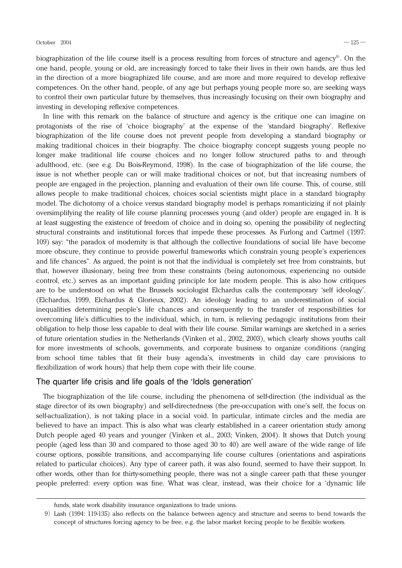#### October 2004 ― ― 125

biographization of the life course itself is a process resulting from forces of structure and agency<sup>9</sup>. On the one hand, people, young or old, are increasingly forced to take their lives in their own hands, are thus led in the direction of a more biographized life course, and are more and more required to develop reflexive competences. On the other hand, people, of any age but perhaps young people more so, are seeking ways to control their own particular future by themselves, thus increasingly focusing on their own biography and investing in developing reflexive competences.

In line with this remark on the balance of structure and agency is the critique one can imagine on protagonists of the rise of 'choice biography' at the expense of the 'standard biography'. Reflexive biographization of the life course does not prevent people from developing a standard biography or making traditional choices in their biography. The choice biography concept suggests young people no longer make traditional life course choices and no longer follow structured paths to and through adulthood, etc. (see e.g. Du Bois-Reymond, 1998). In the case of biographization of the life course, the issue is not whether people can or will make traditional choices or not, but that increasing numbers of people are engaged in the projection, planning and evaluation of their own life course. This, of course, still allows people to make traditional choices, choices social scientists might place in a standard biography model. The dichotomy of a choice versus standard biography model is perhaps romanticizing if not plainly oversimplifying the reality of life course planning processes young (and older) people are engaged in. It is at least suggesting the existence of freedom of choice and in doing so, opening the possibility of neglecting structural constraints and institutional forces that impede these processes. As Furlong and Cartmel (1997: 109) say: "the paradox of modernity is that although the collective foundations of social life have become more obscure, they continue to provide powerful frameworks which constrain young people's experiences and life chances". As argued, the point is not that the individual is completely set free from constraints, but that, however illusionary, being free from these constraints (being autonomous, experiencing no outside control, etc.) serves as an important guiding principle for late modern people. This is also how critiques are to be understood on what the Brussels sociologist Elchardus calls the contemporary 'self ideology'. (Elchardus,1999,Elchardus & Glorieux,2002). An ideology leading to an underestimation of social inequalities determining people's life chances and consequently to the transfer of responsibilities for overcoming life's difficulties to the individual, which, in turn, is relieving pedagogic institutions from their obligation to help those less capable to deal with their life course. Similar warnings are sketched in a series of future orientation studies in the Netherlands (Vinken et al.,2002,2003),which clearly shows youths call for more investments of schools, governments, and corporate business to organize conditions (ranging from school time tables that fit their busy agenda's, investments in child day care provisions to flexibilization of work hours) that help them cope with their life course.

### The quarter life crisis and life goals of the 'Idols generation'

The biographization of the life course, including the phenomena of self-direction (the individual as the stage director of its own biography) and self-directedness (the pre-occupation with one's self, the focus on self-actualization), is not taking place in a social void. In particular, intimate circles and the media are believed to have an impact. This is also what was clearly established in a career orientation study among Dutch people aged 40 years and younger (Vinken et al., 2003; Vinken, 2004). It shows that Dutch young people (aged less than 30 and compared to those aged 30 to 40) are well aware of the wide range of life course options, possible transitions, and accompanying life course cultures (orientations and aspirations related to particular choices). Any type of career path, it was also found, seemed to have their support. In other words, other than for thirty-something people, there was not a single career path that these younger people preferred: every option was fine. What was clear, instead, was their choice for a 'dynamic life

funds, state work disability insurance organizations to trade unions.

<sup>9)</sup>Lash (1994: 119-135) also reflects on the balance between agency and structure and seems to bend towards the concept of structures forcing agency to be free, e.g. the labor market forcing people to be flexible workers.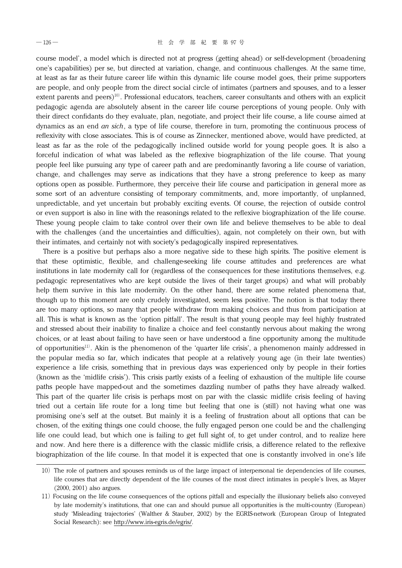course model',a model which is directed not at progress (getting ahead) or self-development (broadening one's capabilities) per se, but directed at variation, change, and continuous challenges. At the same time, at least as far as their future career life within this dynamic life course model goes, their prime supporters are people, and only people from the direct social circle of intimates (partners and spouses, and to a lesser extent parents and peers)<sup>10)</sup>. Professional educators, teachers, career consultants and others with an explicit pedagogic agenda are absolutely absent in the career life course perceptions of young people. Only with their direct confidants do they evaluate, plan, negotiate, and project their life course, a life course aimed at dynamics as an end *an sich*, a type of life course, therefore in turn, promoting the continuous process of reflexivity with close associates. This is of course as Zinnecker, mentioned above, would have predicted, at least as far as the role of the pedagogically inclined outside world for young people goes. It is also a forceful indication of what was labeled as the reflexive biographization of the life course. That young people feel like pursuing any type of career path and are predominantly favoring a life course of variation, change, and challenges may serve as indications that they have a strong preference to keep as many options open as possible. Furthermore, they perceive their life course and participation in general more as some sort of an adventure consisting of temporary commitments, and, more importantly, of unplanned, unpredictable, and yet uncertain but probably exciting events. Of course, the rejection of outside control or even support is also in line with the reasonings related to the reflexive biographization of the life course. These young people claim to take control over their own life and believe themselves to be able to deal with the challenges (and the uncertainties and difficulties), again, not completely on their own, but with their intimates, and certainly not with society's pedagogically inspired representatives.

There is a positive but perhaps also a more negative side to these high spirits. The positive element is that these optimistic, flexible, and challenge-seeking life course attitudes and preferences are what institutions in late modernity call for (regardless of the consequences for these institutions themselves, e.g. pedagogic representatives who are kept outside the lives of their target groups) and what will probably help them survive in this late modernity. On the other hand, there are some related phenomena that, though up to this moment are only crudely investigated, seem less positive. The notion is that today there are too many options, so many that people withdraw from making choices and thus from participation at all. This is what is known as the 'option pitfall'. The result is that young people may feel highly frustrated and stressed about their inability to finalize a choice and feel constantly nervous about making the wrong choices,or at least about failing to have seen or have understood a fine opportunity among the multitude of opportunities<sup>11)</sup>. Akin is the phenomenon of the 'quarter life crisis', a phenomenon mainly addressed in the popular media so far, which indicates that people at a relatively young age (in their late twenties) experience a life crisis, something that in previous days was experienced only by people in their forties (known as the 'midlife crisis'). This crisis partly exists of a feeling of exhaustion of the multiple life course paths people have mapped-out and the sometimes dazzling number of paths they have already walked. This part of the quarter life crisis is perhaps most on par with the classic midlife crisis feeling of having tried out a certain life route for a long time but feeling that one is (still) not having what one was promising one's self at the outset. But mainly it is a feeling of frustration about all options that can be chosen, of the exiting things one could choose, the fully engaged person one could be and the challenging life one could lead, but which one is failing to get full sight of, to get under control, and to realize here and now. And here there is a difference with the classic midlife crisis, a difference related to the reflexive biographization of the life course. In that model it is expected that one is constantly involved in one's life

<sup>10)</sup>The role of partners and spouses reminds us of the large impact of interpersonal tie dependencies of life courses, life courses that are directly dependent of the life courses of the most direct intimates in people's lives, as Mayer  $(2000, 2001)$  also argues.

<sup>11)</sup>Focusing on the life course consequences of the options pitfall and especially the illusionary beliefs also conveyed by late modernity's institutions, that one can and should pursue all opportunities is the multi-country (European) study 'Misleading trajectories' (Walther & Stauber,2002) by the EGRIS-network (European Group of Integrated Social Research): see http://www.iris-egris.de/egris/.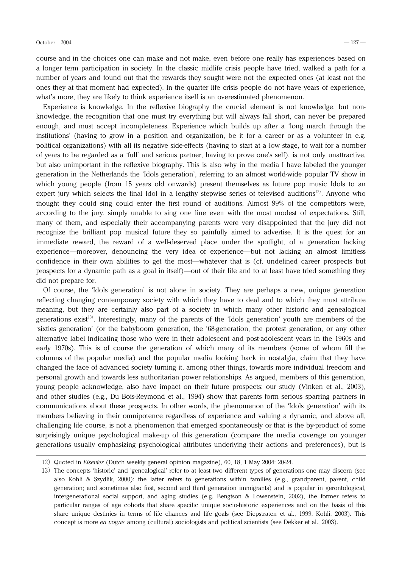course and in the choices one can make and not make, even before one really has experiences based on a longer term participation in society. In the classic midlife crisis people have tried, walked a path for a number of years and found out that the rewards they sought were not the expected ones (at least not the ones they at that moment had expected). In the quarter life crisis people do not have years of experience, what's more, they are likely to think experience itself is an overestimated phenomenon.

Experience is knowledge. In the reflexive biography the crucial element is not knowledge, but nonknowledge, the recognition that one must try everything but will always fall short, can never be prepared enough, and must accept incompleteness. Experience which builds up after a 'long march through the institutions' (having to grow in a position and organization, be it for a career or as a volunteer in e.g. political organizations) with all its negative side-effects (having to start at a low stage, to wait for a number of years to be regarded as a 'full' and serious partner, having to prove one's self), is not only unattractive, but also unimportant in the reflexive biography. This is also why in the media I have labeled the younger generation in the Netherlands the 'Idols generation', referring to an almost world-wide popular TV show in which young people (from 15 years old onwards) present themselves as future pop music Idols to an expert jury which selects the final Idol in a lengthy stepwise series of televised auditions<sup>12)</sup>. Anyone who thought they could sing could enter the first round of auditions. Almost 99% of the competitors were, according to the jury, simply unable to sing one line even with the most modest of expectations. Still, many of them, and especially their accompanying parents were very disappointed that the jury did not recognize the brilliant pop musical future they so painfully aimed to advertise. It is the quest for an immediate reward, the reward of a well-deserved place under the spotlight, of a generation lacking experience—moreover, denouncing the very idea of experience—but not lacking an almost limitless confidence in their own abilities to get the most―whatever that is (cf. undefined career prospects but prospects for a dynamic path as a goal in itself)―out of their life and to at least have tried something they did not prepare for.

Of course, the 'Idols generation' is not alone in society. They are perhaps a new, unique generation reflecting changing contemporary society with which they have to deal and to which they must attribute meaning, but they are certainly also part of a society in which many other historic and genealogical generations exist<sup>13)</sup>. Interestingly, many of the parents of the 'Idols generation' youth are members of the 'sixties generation' (or the babyboom generation, the '68-generation, the protest generation, or any other alternative label indicating those who were in their adolescent and post-adolescent years in the 1960s and early 1970s). This is of course the generation of which many of its members (some of whom fill the columns of the popular media) and the popular media looking back in nostalgia, claim that they have changed the face of advanced society turning it, among other things, towards more individual freedom and personal growth and towards less authoritarian power relationships. As argued, members of this generation, young people acknowledge, also have impact on their future prospects: our study (Vinken et al., 2003), and other studies (e.g., Du Bois-Reymond et al., 1994) show that parents form serious sparring partners in communications about these prospects. In other words, the phenomenon of the 'Idols generation' with its members believing in their omnipotence regardless of experience and valuing a dynamic, and above all, challenging life course, is not a phenomenon that emerged spontaneously or that is the by-product of some surprisingly unique psychological make-up of this generation (compare the media coverage on younger generations usually emphasizing psychological attributes underlying their actions and preferences), but is

<sup>12)</sup> Quoted in *Elsevier* (Dutch weekly general opinion magazine), 60, 18, 1 May 2004: 20-24.

<sup>13)</sup>The concepts 'historic' and 'genealogical' refer to at least two different types of generations one may discern (see also Kohli & Szydlik, 2000): the latter refers to generations within families (e.g., grandparent, parent, child generation; and sometimes also first, second and third generation immigrants) and is popular in gerontological, intergenerational social support, and aging studies (e.g. Bengtson & Lowenstein, 2002), the former refers to particular ranges of age cohorts that share specific unique socio-historic experiences and on the basis of this share unique destinies in terms of life chances and life goals (see Diepstraten et al., 1999, Kohli, 2003). This concept is more *en vogue* among (cultural) sociologists and political scientists (see Dekker et al., 2003).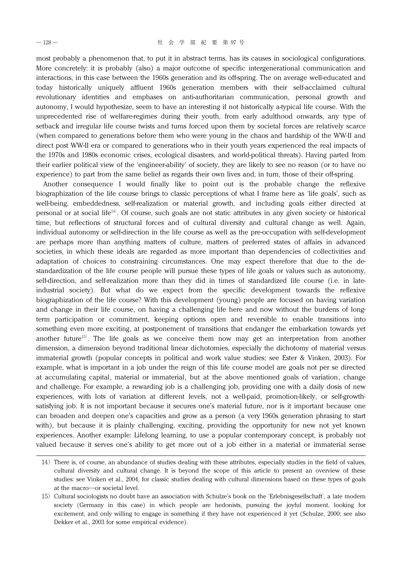most probably a phenomenon that, to put it in abstract terms, has its causes in sociological configurations. More concretely: it is probably (also) a major outcome of specific intergenerational communication and interactions, in this case between the 1960s generation and its off-spring. The on average well-educated and today historically uniquely affluent 1960s generation members with their self-acclaimed cultural revolutionary identities and emphases on anti-authoritarian communication, personal growth and autonomy, I would hypothesize, seem to have an interesting if not historically a-typical life course. With the unprecedented rise of welfare-regimes during their youth, from early adulthood onwards, any type of setback and irregular life course twists and turns forced upon them by societal forces are relatively scarce (when compared to generations before them who were young in the chaos and hardship of the WW-II and direct post WW-II era or compared to generations who in their youth years experienced the real impacts of the 1970s and 1980s economic crises, ecological disasters, and world-political threats). Having parted from their earlier political view of the 'engineer-ability' of society, they are likely to see no reason (or to have no experience) to part from the same belief as regards their own lives and, in turn, those of their off-spring.

Another consequence I would finally like to point out is the probable change the reflexive biographization of the life course brings to classic perceptions of what I frame here as 'life goals', such as well-being, embeddedness, self-realization or material growth, and including goals either directed at personal or at social life<sup>14</sup>. Of course, such goals are not static attributes in any given society or historical time, but reflections of structural forces and of cultural diversity and cultural change as well. Again, individual autonomy or self-direction in the life course as well as the pre-occupation with self-development are perhaps more than anything matters of culture, matters of preferred states of affairs in advanced societies, in which these ideals are regarded as more important than dependencies of collectivities and adaptation of choices to constraining circumstances. One may expect therefore that due to the destandardization of the life course people will pursue these types of life goals or values such as autonomy, self-direction, and self-realization more than they did in times of standardized life course (i.e. in lateindustrial society). But what do we expect from the specific development towards the reflexive biographization of the life course? With this development (young) people are focused on having variation and change in their life course, on having a challenging life here and now without the burdens of longterm participation or commitment, keeping options open and reversible to enable transitions into something even more exciting, at postponement of transitions that endanger the embarkation towards yet another future<sup>15)</sup>. The life goals as we conceive them now may get an interpretation from another dimension, a dimension beyond traditional linear dichotomies, especially the dichotomy of material versus immaterial growth (popular concepts in political and work value studies; see Ester & Vinken, 2003). For example, what is important in a job under the reign of this life course model are goals not per se directed at accumulating capital, material or immaterial, but at the above mentioned goals of variation, change and challenge. For example, a rewarding job is a challenging job, providing one with a daily dosis of new experiences, with lots of variation at different levels, not a well-paid, promotion-likely, or self-growthsatisfying job. It is not important because it secures one's material future, nor is it important because one can broaden and deepen one's capacities and grow as a person (a very 1960s generation phrasing to start with), but because it is plainly challenging, exciting, providing the opportunity for new not yet known experiences. Another example: Lifelong learning, to use a popular contemporary concept, is probably not valued because it serves one's ability to get more out of a job either in a material or immaterial sense

<sup>14)</sup> There is, of course, an abundance of studies dealing with these attributes, especially studies in the field of values, cultural diversity and cultural change. It is beyond the scope of this article to present an overview of these studies: see Vinken et al., 2004, for classic studies dealing with cultural dimensions based on these types of goals at the macro―or societal level.

<sup>15)</sup> Cultural sociologists no doubt have an association with Schulze's book on the 'Erlebnisgesellschaft', a late modern society (Germany in this case) in which people are hedonists, pursuing the joyful moment, looking for excitement, and only willing to engage in something if they have not experienced it yet (Schulze, 2000; see also Dekker et al., 2003 for some empirical evidence).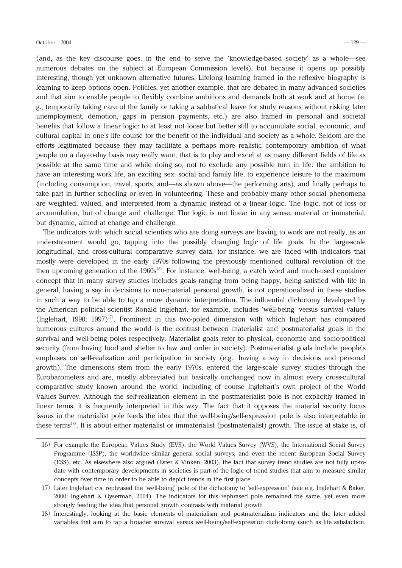(and,as the key discourse goes,in the end to serve the 'knowledge-based society' as a whole―see numerous debates on the subject at European Commission levels), but because it opens up possibly interesting, though yet unknown alternative futures. Lifelong learning framed in the reflexive biography is learning to keep options open. Policies, yet another example, that are debated in many advanced societies and that aim to enable people to flexibly combine ambitions and demands both at work and at home (e. g., temporarily taking care of the family or taking a sabbatical leave for study reasons without risking later unemployment, demotion, gaps in pension payments, etc.) are also framed in personal and societal benefits that follow a linear logic: to at least not loose but better still to accumulate social, economic, and cultural capital in one's life course for the benefit of the individual and society as a whole. Seldom are the efforts legitimated because they may facilitate a perhaps more realistic contemporary ambition of what people on a day-to-day basis may really want, that is to play and excel at as many different fields of life as possible at the same time and while doing so, not to exclude any possible turn in life: the ambition to have an interesting work life, an exciting sex, social and family life, to experience leisure to the maximum (including consumption, travel, sports, and—as shown above—the performing arts), and finally perhaps to take part in further schooling or even in volunteering. These and probably many other social phenomena are weighted, valued, and interpreted from a dynamic instead of a linear logic. The logic, not of loss or accumulation, but of change and challenge. The logic is not linear in any sense, material or immaterial, but dynamic, aimed at change and challenge.

The indicators with which social scientists who are doing surveys are having to work are not really, as an understatement would go, tapping into the possibly changing logic of life goals. In the large-scale longitudinal, and cross-cultural comparative survey data, for instance, we are faced with indicators that mostly were developed in the early 1970s following the previously mentioned cultural revolution of the then upcoming generation of the  $1960s^{16}$ . For instance, well-being, a catch word and much-used container concept that in many survey studies includes goals ranging from being happy, being satisfied with life in general, having a say in decisions to non-material personal growth, is not operationalized in these studies in such a way to be able to tap a more dynamic interpretation. The influential dichotomy developed by the American political scientist Ronald Inglehart, for example, includes 'well-being' versus survival values (Inglehart, 1990; 1997)<sup>17</sup>. Prominent in this two-poled dimension with which Inglehart has compared numerous cultures around the world is the contrast between materialist and postmaterialist goals in the survival and well-being poles respectively. Materialist goals refer to physical, economic and socio-political security (from having food and shelter to law and order in society). Postmaterialist goals include people's emphases on self-realization and participation in society (e.g., having a say in decisions and personal growth). The dimensions stem from the early 1970s, entered the large-scale survey studies through the Eurobarometers and are, mostly abbreviated but basically unchanged now in almost every cross-cultural comparative study known around the world, including of course Inglehart's own project of the World Values Survey. Although the self-realization element in the postmaterialist pole is not explicitly framed in linear terms, it is frequently interpreted in this way. The fact that it opposes the material security focus issues in the materialist pole feeds the idea that the well-being/self-expression pole is also interpretable in these terms<sup>18)</sup>. It is about either materialist or immaterialist (postmaterialist) growth. The issue at stake is, of

<sup>16)</sup> For example the European Values Study (EVS), the World Values Survey (WVS), the International Social Survey Programme (ISSP), the worldwide similar general social surveys, and even the recent European Social Survey (ESS), etc. As elsewhere also argued (Ester & Vinken, 2003), the fact that survey trend studies are not fully up-todate with contemporary developments in societies is part of the logic of trend studies that aim to measure similar concepts over time in order to be able to depict trends in the first place.

<sup>17)</sup>Later Inglehart c.s. rephrased the 'well-being' pole of the dichotomy to 'self-expression' (see e.g. Inglehart & Baker, 2000; Inglehart & Oyserman, 2004). The indicators for this rephrased pole remained the same, yet even more strongly feeding the idea that personal growth contrasts with material growth

<sup>18)</sup> Interestingly, looking at the basic elements of materialism and postmaterialism indicators and the later added variables that aim to tap a broader survival versus well-being/self-expression dichotomy (such as life satisfaction,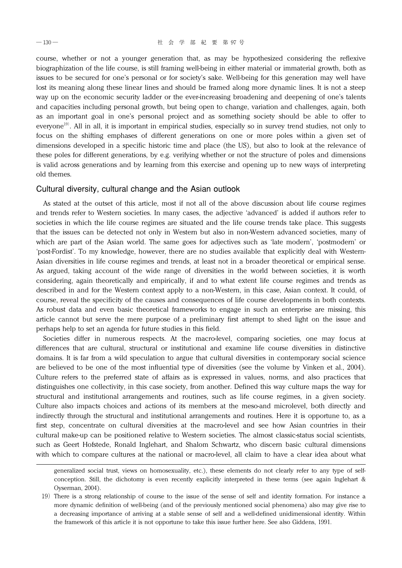course, whether or not a younger generation that, as may be hypothesized considering the reflexive biographization of the life course, is still framing well-being in either material or immaterial growth, both as issues to be secured for one's personal or for society's sake. Well-being for this generation may well have lost its meaning along these linear lines and should be framed along more dynamic lines. It is not a steep way up on the economic security ladder or the ever-increasing broadening and deepening of one's talents and capacities including personal growth, but being open to change, variation and challenges, again, both as an important goal in one's personal project and as something society should be able to offer to everyone<sup>19)</sup>. All in all, it is important in empirical studies, especially so in survey trend studies, not only to focus on the shifting emphases of different generations on one or more poles within a given set of dimensions developed in a specific historic time and place (the US), but also to look at the relevance of these poles for different generations, by e.g. verifying whether or not the structure of poles and dimensions is valid across generations and by learning from this exercise and opening up to new ways of interpreting old themes.

### Cultural diversity, cultural change and the Asian outlook

As stated at the outset of this article, most if not all of the above discussion about life course regimes and trends refer to Western societies. In many cases, the adjective 'advanced' is added if authors refer to societies in which the life course regimes are situated and the life course trends take place. This suggests that the issues can be detected not only in Western but also in non-Western advanced societies, many of which are part of the Asian world. The same goes for adjectives such as 'late modern', 'postmodern' or 'post-Fordist'. To my knowledge, however, there are no studies available that explicitly deal with Western-Asian diversities in life course regimes and trends, at least not in a broader theoretical or empirical sense. As argued, taking account of the wide range of diversities in the world between societies, it is worth considering, again theoretically and empirically, if and to what extent life course regimes and trends as described in and for the Western context apply to a non-Western, in this case, Asian context. It could, of course, reveal the specificity of the causes and consequences of life course developments in both contexts. As robust data and even basic theoretical frameworks to engage in such an enterprise are missing, this article cannot but serve the mere purpose of a preliminary first attempt to shed light on the issue and perhaps help to set an agenda for future studies in this field.

Societies differ in numerous respects. At the macro-level, comparing societies, one may focus at differences that are cultural, structural or institutional and examine life course diversities in distinctive domains. It is far from a wild speculation to argue that cultural diversities in contemporary social science are believed to be one of the most influential type of diversities (see the volume by Vinken et al.,2004). Culture refers to the preferred state of affairs as is expressed in values, norms, and also practices that distinguishes one collectivity, in this case society, from another. Defined this way culture maps the way for structural and institutional arrangements and routines, such as life course regimes, in a given society. Culture also impacts choices and actions of its members at the meso-and microlevel, both directly and indirectly through the structural and institutional arrangements and routines. Here it is opportune to, as a first step, concentrate on cultural diversities at the macro-level and see how Asian countries in their cultural make-up can be positioned relative to Western societies. The almost classic-status social scientists, such as Geert Hofstede, Ronald Inglehart, and Shalom Schwartz, who discern basic cultural dimensions with which to compare cultures at the national or macro-level, all claim to have a clear idea about what

generalized social trust, views on homosexuality, etc.), these elements do not clearly refer to any type of selfconception. Still, the dichotomy is even recently explicitly interpreted in these terms (see again Inglehart & Oyserman, 2004).

<sup>19)</sup>There is a strong relationship of course to the issue of the sense of self and identity formation. For instance a more dynamic definition of well-being (and of the previously mentioned social phenomena) also may give rise to a decreasing importance of arriving at a stable sense of self and a well-defined unidimensional identity. Within the framework of this article it is not opportune to take this issue further here. See also Giddens,1991.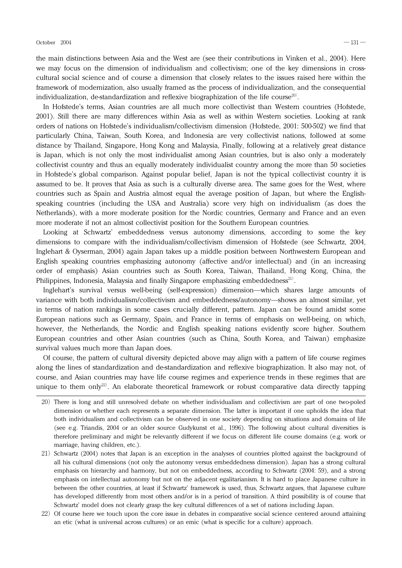the main distinctions between Asia and the West are (see their contributions in Vinken et al., 2004). Here we may focus on the dimension of individualism and collectivism; one of the key dimensions in crosscultural social science and of course a dimension that closely relates to the issues raised here within the framework of modernization, also usually framed as the process of individualization, and the consequential individualization, de-standardization and reflexive biographization of the life course<sup>20)</sup>.

In Hofstede's terms, Asian countries are all much more collectivist than Western countries (Hofstede, 2001). Still there are many differences within Asia as well as within Western societies. Looking at rank orders of nations on Hofstede's individualism/collectivism dimension (Hofstede,2001: 500-502) we find that particularly China, Taiwan, South Korea, and Indonesia are very collectivist nations, followed at some distance by Thailand, Singapore, Hong Kong and Malaysia, Finally, following at a relatively great distance is Japan, which is not only the most individualist among Asian countries, but is also only a moderately collectivist country and thus an equally moderately individualist country among the more than 50 societies in Hofstede's global comparison. Against popular belief, Japan is not the typical collectivist country it is assumed to be. It proves that Asia as such is a culturally diverse area. The same goes for the West, where countries such as Spain and Austria almost equal the average position of Japan, but where the Englishspeaking countries (including the USA and Australia) score very high on individualism (as does the Netherlands), with a more moderate position for the Nordic countries, Germany and France and an even more moderate if not an almost collectivist position for the Southern European countries.

Looking at Schwartz' embeddedness versus autonomy dimensions, according to some the key dimensions to compare with the individualism/collectivism dimension of Hofstede (see Schwartz,2004, Inglehart & Oyserman,2004) again Japan takes up a middle position between Northwestern European and English speaking countries emphasizing autonomy (affective and/or intellectual) and (in an increasing order of emphasis) Asian countries such as South Korea, Taiwan, Thailand, Hong Kong, China, the Philippines, Indonesia, Malaysia and finally Singapore emphasizing embeddedness<sup>21)</sup>.

Inglehart's survival versus well-being (self-expression) dimension―which shares large amounts of variance with both individualism/collectivism and embeddedness/autonomy—shows an almost similar, yet in terms of nation rankings in some cases crucially different, pattern. Japan can be found amidst some European nations such as Germany, Spain, and France in terms of emphasis on well-being, on which, however, the Netherlands, the Nordic and English speaking nations evidently score higher. Southern European countries and other Asian countries (such as China, South Korea, and Taiwan) emphasize survival values much more than Japan does.

Of course, the pattern of cultural diversity depicted above may align with a pattern of life course regimes along the lines of standardization and de-standardization and reflexive biographization. It also may not, of course, and Asian countries may have life course regimes and experience trends in these regimes that are unique to them only<sup>22</sup>. An elaborate theoretical framework or robust comparative data directly tapping

<sup>20)</sup>There is long and still unresolved debate on whether individualism and collectivism are part of one two-poled dimension or whether each represents a separate dimension. The latter is important if one upholds the idea that both individualism and collectivism can be observed in one society depending on situations and domains of life (see e.g. Triandis,2004 or an older source Gudykunst et al.,1996). The following about cultural diversities is therefore preliminary and might be relevantly different if we focus on different life course domains (e.g. work or marriage, having children, etc.).

<sup>21)</sup> Schwartz (2004) notes that Japan is an exception in the analyses of countries plotted against the background of all his cultural dimensions (not only the autonomy versus embeddedness dimension). Japan has a strong cultural emphasis on hierarchy and harmony, but not on embeddedness, according to Schwartz (2004: 59), and a strong emphasis on intellectual autonomy but not on the adjacent egalitarianism. It is hard to place Japanese culture in between the other countries, at least if Schwartz' framework is used, thus, Schwartz argues, that Japanese culture has developed differently from most others and/or is in a period of transition. A third possibility is of course that Schwartz' model does not clearly grasp the key cultural differences of a set of nations including Japan.

<sup>22)</sup> Of course here we touch upon the core issue in debates in comparative social science centered around attaining an etic (what is universal across cultures) or an emic (what is specific for a culture) approach.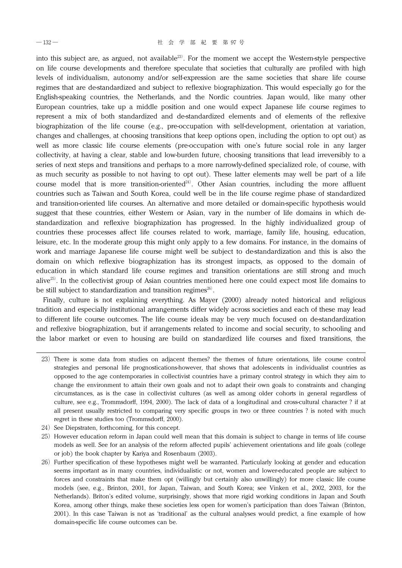into this subject are, as argued, not available<sup>23)</sup>. For the moment we accept the Western-style perspective on life course developments and therefore speculate that societies that culturally are profiled with high levels of individualism, autonomy and/or self-expression are the same societies that share life course regimes that are de-standardized and subject to reflexive biographization. This would especially go for the English-speaking countries, the Netherlands, and the Nordic countries. Japan would, like many other European countries, take up a middle position and one would expect Japanese life course regimes to represent a mix of both standardized and de-standardized elements and of elements of the reflexive biographization of the life course (e.g., pre-occupation with self-development, orientation at variation, changes and challenges, at choosing transitions that keep options open, including the option to opt out) as well as more classic life course elements (pre-occupation with one's future social role in any larger collectivity, at having a clear, stable and low-burden future, choosing transitions that lead irreversibly to a series of next steps and transitions and perhaps to a more narrowly-defined specialized role, of course, with as much security as possible to not having to opt out). These latter elements may well be part of a life course model that is more transition-oriented<sup>24)</sup>. Other Asian countries, including the more affluent countries such as Taiwan and South Korea, could well be in the life course regime phase of standardized and transition-oriented life courses. An alternative and more detailed or domain-specific hypothesis would suggest that these countries, either Western or Asian, vary in the number of life domains in which destandardization and reflexive biographization has progressed. In the highly individualized group of countries these processes affect life courses related to work, marriage, family life, housing, education, leisure, etc. In the moderate group this might only apply to a few domains. For instance, in the domains of work and marriage Japanese life course might well be subject to de-standardization and this is also the domain on which reflexive biographization has its strongest impacts, as opposed to the domain of education in which standard life course regimes and transition orientations are still strong and much alive<sup>25)</sup>. In the collectivist group of Asian countries mentioned here one could expect most life domains to be still subject to standardization and transition regimes<sup>26)</sup>.

Finally, culture is not explaining everything. As Mayer (2000) already noted historical and religious tradition and especially institutional arrangements differ widely across societies and each of these may lead to different life course outcomes. The life course ideals may be very much focused on de-standardization and reflexive biographization, but if arrangements related to income and social security, to schooling and the labor market or even to housing are build on standardized life courses and fixed transitions, the

24) See Diepstraten, forthcoming, for this concept.

<sup>23)</sup> There is some data from studies on adjacent themes? the themes of future orientations, life course control strategies and personal life prognostications-however, that shows that adolescents in individualist countries as opposed to the age contemporaries in collectivist countries have a primary control strategy in which they aim to change the environment to attain their own goals and not to adapt their own goals to constraints and changing circumstances,as is the case in collectivist cultures (as well as among older cohorts in general regardless of culture, see e.g., Trommsdorff, 1994, 2000). The lack of data of a longitudinal and cross-cultural character ? if at all present usually restricted to comparing very specific groups in two or three countries ? is noted with much regret in these studies too (Trommsdorff, 2000).

<sup>25)</sup> However education reform in Japan could well mean that this domain is subject to change in terms of life course models as well. See for an analysis of the reform affected pupils' achievement orientations and life goals (college or job) the book chapter by Kariya and Rosenbaum (2003).

<sup>26)</sup> Further specification of these hypotheses might well be warranted. Particularly looking at gender and education seems important as in many countries, individualistic or not, women and lower-educated people are subject to forces and constraints that make them opt (willingly but certainly also unwillingly) for more classic life course models (see, e.g., Brinton, 2001, for Japan, Taiwan, and South Korea; see Vinken et al., 2002, 2003, for the Netherlands). Briton's edited volume, surprisingly, shows that more rigid working conditions in Japan and South Korea, among other things, make these societies less open for women's participation than does Taiwan (Brinton, 2001). In this case Taiwan is not as 'traditional' as the cultural analyses would predict, a fine example of how domain-specific life course outcomes can be.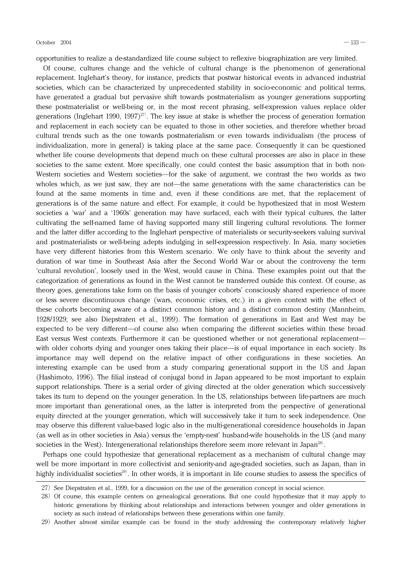opportunities to realize a de-standardized life course subject to reflexive biographization are very limited.

Of course, cultures change and the vehicle of cultural change is the phenomenon of generational replacement. Inglehart's theory, for instance, predicts that postwar historical events in advanced industrial societies, which can be characterized by unprecedented stability in socio-economic and political terms, have generated a gradual but pervasive shift towards postmaterialism as younger generations supporting these postmaterialist or well-being or, in the most recent phrasing, self-expression values replace older generations (Inglehart 1990, 1997)<sup>27)</sup>. The key issue at stake is whether the process of generation formation and replacement in each society can be equated to those in other societies, and therefore whether broad cultural trends such as the one towards postmaterialism or even towards individualism (the process of individualization, more in general) is taking place at the same pace. Consequently it can be questioned whether life course developments that depend much on these cultural processes are also in place in these societies to the same extent. More specifically, one could contest the basic assumption that in both non-Western societies and Western societies—for the sake of argument, we contrast the two worlds as two wholes which, as we just saw, they are not—the same generations with the same characteristics can be found at the same moments in time and, even if these conditions are met, that the replacement of generations is of the same nature and effect. For example, it could be hypothesized that in most Western societies a 'war' and a '1960s' generation may have surfaced, each with their typical cultures, the latter cultivating the self-named fame of having supported many still lingering cultural revolutions. The former and the latter differ according to the Inglehart perspective of materialists or security-seekers valuing survival and postmaterialists or well-being adepts indulging in self-expression respectively. In Asia, many societies have very different histories from this Western scenario. We only have to think about the severity and duration of war time in Southeast Asia after the Second World War or about the controversy the term 'cultural revolution', loosely used in the West, would cause in China. These examples point out that the categorization of generations as found in the West cannot be transferred outside this context. Of course, as theory goes, generations take form on the basis of younger cohorts' consciously shared experience of more or less severe discontinuous change (wars, economic crises, etc.) in a given context with the effect of these cohorts becoming aware of a distinct common history and a distinct common destiny (Mannheim, 1928/1929; see also Diepstraten et al.,1999). The formation of generations in East and West may be expected to be very different―of course also when comparing the different societies within these broad East versus West contexts. Furthermore it can be questioned whether or not generational replacement― with older cohorts dying and younger ones taking their place—is of equal importance in each society. Its importance may well depend on the relative impact of other configurations in these societies. An interesting example can be used from a study comparing generational support in the US and Japan (Hashimoto,1996). The filial instead of conjugal bond in Japan appeared to be most important to explain support relationships. There is a serial order of giving directed at the older generation which successively takes its turn to depend on the younger generation. In the US, relationships between life-partners are much more important than generational ones, as the latter is interpreted from the perspective of generational equity directed at the younger generation,which will successively take it turn to seek independence. One may observe this different value-based logic also in the multi-generational coresidence households in Japan (as well as in other societies in Asia) versus the 'empty-nest' husband-wife households in the US (and many societies in the West). Intergenerational relationships therefore seem more relevant in Japan<sup>28)</sup>.

Perhaps one could hypothesize that generational replacement as a mechanism of cultural change may well be more important in more collectivist and seniority-and age-graded societies, such as Japan, than in highly individualist societies<sup>29)</sup>. In other words, it is important in life course studies to assess the specifics of

<sup>27)</sup> See Diepstraten et al., 1999, for a discussion on the use of the generation concept in social science.

<sup>28)</sup>Of course,this example centers on genealogical generations. But one could hypothesize that it may apply to historic generations by thinking about relationships and interactions between younger and older generations in society as such instead of relationships between these generations within one family.

<sup>29)</sup>Another almost similar example can be found in the study addressing the contemporary relatively higher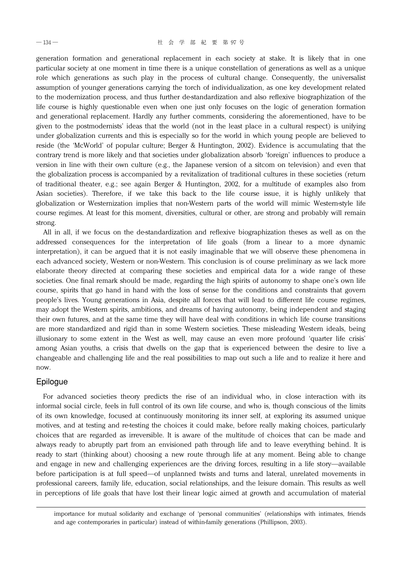generation formation and generational replacement in each society at stake. It is likely that in one particular society at one moment in time there is a unique constellation of generations as well as a unique role which generations as such play in the process of cultural change. Consequently, the universalist assumption of younger generations carrying the torch of individualization, as one key development related to the modernization process, and thus further de-standardization and also reflexive biographization of the life course is highly questionable even when one just only focuses on the logic of generation formation and generational replacement. Hardly any further comments, considering the aforementioned, have to be given to the postmodernists' ideas that the world (not in the least place in a cultural respect) is unifying under globalization currents and this is especially so for the world in which young people are believed to reside (the 'McWorld' of popular culture; Berger & Huntington,2002). Evidence is accumulating that the contrary trend is more likely and that societies under globalization absorb 'foreign' influences to produce a version in line with their own culture (e.g., the Japanese version of a sitcom on television) and even that the globalization process is accompanied by a revitalization of traditional cultures in these societies (return of traditional theater, e.g.; see again Berger & Huntington, 2002, for a multitude of examples also from Asian societies). Therefore, if we take this back to the life course issue, it is highly unlikely that globalization or Westernization implies that non-Western parts of the world will mimic Western-style life course regimes. At least for this moment, diversities, cultural or other, are strong and probably will remain strong.

All in all,if we focus on the de-standardization and reflexive biographization theses as well as on the addressed consequences for the interpretation of life goals (from a linear to a more dynamic interpretation), it can be argued that it is not easily imaginable that we will observe these phenomena in each advanced society, Western or non-Western. This conclusion is of course preliminary as we lack more elaborate theory directed at comparing these societies and empirical data for a wide range of these societies. One final remark should be made, regarding the high spirits of autonomy to shape one's own life course, spirits that go hand in hand with the loss of sense for the conditions and constraints that govern people's lives. Young generations in Asia, despite all forces that will lead to different life course regimes, may adopt the Western spirits, ambitions, and dreams of having autonomy, being independent and staging their own futures, and at the same time they will have deal with conditions in which life course transitions are more standardized and rigid than in some Western societies. These misleading Western ideals, being illusionary to some extent in the West as well, may cause an even more profound 'quarter life crisis' among Asian youths, a crisis that dwells on the gap that is experienced between the desire to live a changeable and challenging life and the real possibilities to map out such a life and to realize it here and now.

### Epilogue

For advanced societies theory predicts the rise of an individual who, in close interaction with its informal social circle, feels in full control of its own life course, and who is, though conscious of the limits of its own knowledge, focused at continuously monitoring its inner self, at exploring its assumed unique motives, and at testing and re-testing the choices it could make, before really making choices, particularly choices that are regarded as irreversible. It is aware of the multitude of choices that can be made and always ready to abruptly part from an envisioned path through life and to leave everything behind. It is ready to start (thinking about) choosing a new route through life at any moment. Being able to change and engage in new and challenging experiences are the driving forces, resulting in a life story—available before participation is at full speed—of unplanned twists and turns and lateral, unrelated movements in professional careers, family life, education, social relationships, and the leisure domain. This results as well in perceptions of life goals that have lost their linear logic aimed at growth and accumulation of material

importance for mutual solidarity and exchange of 'personal communities' (relationships with intimates, friends and age contemporaries in particular) instead of within-family generations (Phillipson,2003).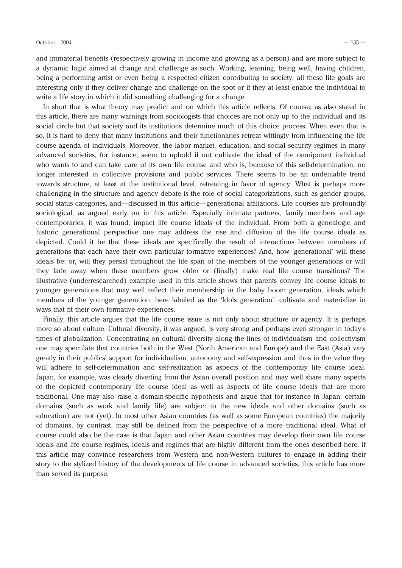and immaterial benefits (respectively growing in income and growing as a person) and are more subject to a dynamic logic aimed at change and challenge as such. Working, learning, being well, having children, being a performing artist or even being a respected citizen contributing to society; all these life goals are interesting only if they deliver change and challenge on the spot or if they at least enable the individual to write a life story in which it did something challenging for a change.

In short that is what theory may predict and on which this article reflects. Of course, as also stated in this article, there are many warnings from sociologists that choices are not only up to the individual and its social circle but that society and its institutions determine much of this choice process. When even that is so, it is hard to deny that many institutions and their functionaries retreat wittingly from influencing the life course agenda of individuals. Moreover, the labor market, education, and social security regimes in many advanced societies, for instance, seem to uphold if not cultivate the ideal of the omnipotent individual who wants to and can take care of its own life course and who is, because of this self-determination, no longer interested in collective provisions and public services. There seems to be an undeniable trend towards structure, at least at the institutional level, retreating in favor of agency. What is perhaps more challenging in the structure and agency debate is the role of social categorizations, such as gender groups, social status categories, and—discussed in this article—generational affiliations. Life courses are profoundly sociological, as argued early on in this article. Especially intimate partners, family members and age contemporaries, it was found, impact life course ideals of the individual. From both a genealogic and historic generational perspective one may address the rise and diffusion of the life course ideals as depicted. Could it be that these ideals are specifically the result of interactions between members of generations that each have their own particular formative experiences? And, how 'generational' will these ideals be: or,will they persist throughout the life span of the members of the younger generations or will they fade away when these members grow older or (finally) make real life course transitions? The illustrative (underresearched) example used in this article shows that parents convey life course ideals to younger generations that may well reflect their membership in the baby boom generation, ideals which members of the younger generation, here labeled as the 'Idols generation', cultivate and materialize in ways that fit their own formative experiences.

Finally, this article argues that the life course issue is not only about structure or agency. It is perhaps more so about culture. Cultural diversity, it was argued, is very strong and perhaps even stronger in today's times of globalization. Concentrating on cultural diversity along the lines of individualism and collectivism one may speculate that countries both in the West (North American and Europe) and the East (Asia) vary greatly in their publics' support for individualism, autonomy and self-expression and thus in the value they will adhere to self-determination and self-realization as aspects of the contemporary life course ideal. Japan, for example, was clearly diverting from the Asian overall position and may well share many aspects of the depicted contemporary life course ideal as well as aspects of life course ideals that are more traditional. One may also raise a domain-specific hypothesis and argue that for instance in Japan, certain domains (such as work and family life) are subject to the new ideals and other domains (such as education) are not (yet). In most other Asian countries (as well as some European countries) the majority of domains, by contrast, may still be defined from the perspective of a more traditional ideal. What of course could also be the case is that Japan and other Asian countries may develop their own life course ideals and life course regimes, ideals and regimes that are highly different from the ones described here. If this article may convince researchers from Western and non-Western cultures to engage in adding their story to the stylized history of the developments of life course in advanced societies, this article has more than served its purpose.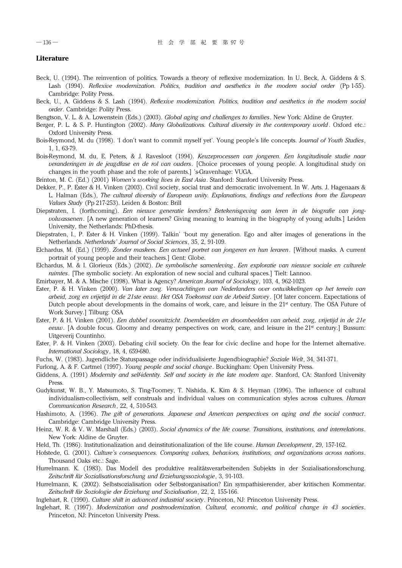#### **Literature**

- Beck, U. (1994). The reinvention of politics. Towards a theory of reflexive modernization. In U. Beck, A. Giddens & S. Lash (1994). *Reflexive modernization. Politics, tradition and aesthetics in the modern social order* (Pp 1-55). Cambridge: Polity Press.
- Beck, U., A. Giddens & S. Lash (1994). *Reflexive modernization. Politics, tradition and aesthetics in the modern social order*. Cambridge: Polity Press.
- Bengtson, V. L. & A. Lowenstein (Eds.) (2003). *Global aging and challenges to families*. New York: Aldine de Gruyter.
- Berger, P. L. & S. P. Huntington (2002). *Many Globalizations. Cultural diversity in the contemporary world*. Oxford etc.: Oxford University Press.
- Bois-Reymond, M. du (1998). 'I don't want to commit myself yet'. Young people's life concepts. Journal of Youth Studies, 1,1,63-79.
- Bois-Reymond,M. du,E. Peters,& J. Ravesloot (1994). *Keuzeprocessen van jongeren. Een longitudinale studie naar veranderingen in de jeugdfase en de rol van ouders*. [Choice processes of young people. A longitudinal study on changes in the youth phase and the role of parents.] 's-Gravenhage: VUGA.
- Brinton,M. C. (Ed.) (2001) *Women's working lives in East Asia*. Stanford: Stanford University Press.
- Dekker, P., P. Ester & H. Vinken (2003). Civil society, social trust and democratic involvement. In W. Arts. J. Hagenaars & L. Halman (Eds.), *The cultural diversity of European unity. Explanations, findings and reflections from the European Values Study* (Pp 217-253). Leiden & Boston: Brill
- Diepstraten, I. (forthcoming). *Een nieuwe generatie leerders? Betekenisgeving aan leren in de biografie van jongvolwassenen*. [A new generation of learners? Giving meaning to learning in the biography of young adults.] Leiden University, the Netherlands: PhD-thesis.
- Diepstraten, I., P. Ester & H. Vinken (1999). Talkin' 'bout my generation. Ego and alter images of generations in the Netherlands. *Netherlands' Journal of Social Sciences*,35,2,91-109.
- Elchardus,M. (Ed.) (1999). *Zonder maskers. Een actueel portret van jongeren en hun leraren*. [Without masks. A current portrait of young people and their teachers.] Gent: Globe.
- Elchardus, M. & I. Glorieux (Eds.) (2002). *De symbolische samenleving*. *Een exploratie van nieuwe sociale en culturele ruimtes*. [The symbolic society. An exploration of new social and cultural spaces.] Tielt: Lannoo.
- Emirbayer, M. & A. Mische (1998). What is Agency? *American Journal of Sociology*, 103, 4, 962-1023.
- Ester,P. & H. Vinken (2000). *Van later zorg. Verwachtingen van Nederlanders over ontwikkelingen op het terrein van arbeid, zorg en vrijetijd in de 21ste eeuw. Het OSA Toekomst van de Arbeid Survey*. [Of later concern. Expectations of Dutch people about developments in the domains of work, care, and leisure in the 21<sup>st</sup> century. The OSA Future of Work Survey.] Tilburg: OSA
- Ester,P. & H. Vinken (2001). *Een dubbel vooruitzicht. Doembeelden en droombeelden van arbeid, zorg, vrijetijd in de 21e eeuw*. [A double focus. Gloomy and dreamy perspectives on work, care, and leisure in the 21<sup>st</sup> century.] Bussum: Uitgeverij Countinho.
- Ester, P. & H. Vinken (2003). Debating civil society. On the fear for civic decline and hope for the Internet alternative. *International Sociology*,18,4,659-680.
- Fuchs,W. (1983). Jugendliche Statuspassage oder individualisierte Jugendbiographie? *Soziale Welt*,34,341-371.
- Furlong,A. & F. Cartmel (1997). *Young people and social change*. Buckingham: Open University Press.
- Giddens, A. (1991) *Modernity and self-identity. Self and society in the late modern age*. Stanford, CA: Stanford University Press.
- Gudykunst, W. B., Y. Matsumoto, S. Ting-Toomey, T. Nishida, K. Kim & S. Heyman (1996). The influence of cultural individualism-collectivism, self construals and individual values on communication styles across cultures. *Human Communication Research*, 22, 4, 510-543.
- Hashimoto,A. (1996). *The gift of generations. Japanese and American perspectives on aging and the social contract*. Cambridge: Cambridge University Press.
- Heinz, W. R. & V. W. Marshall (Eds.) (2003). *Social dynamics of the life course. Transitions, institutions, and interrelations*. New York: Aldine de Gruyter.
- Held,Th. (1986). Institutionalization and deinstitutionalization of the life course. *Human Development*,29,157-162.
- Hofstede,G. (2001). *Culture's consequences. Comparing values, behaviors, institutions, and organizations across nations*. Thousand Oaks etc.: Sage.
- Hurrelmann. K. (1983). Das Modell des produktive realitätsverarbeitenden Subjekts in der Sozialisationsforschung. *Zeitschrift für Sozialisationsforschung und Erziehungssoziologie*,3,91-103.
- Hurrelmann, K. (2002). Selbstsozialisation oder Selbstorganisation? Ein sympathisierender, aber kritischen Kommentar. *Zeitschrift für Soziologie der Erziehung und Sozialisation*,22,2,155-166.
- Inglehart, R. (1990). *Culture shift in advanced industrial society*. Princeton, NJ: Princeton University Press.
- Inglehart,R. (1997). *Modernization and postmodernization. Cultural, economic, and political change in 43 societies*. Princeton, NJ: Princeton University Press.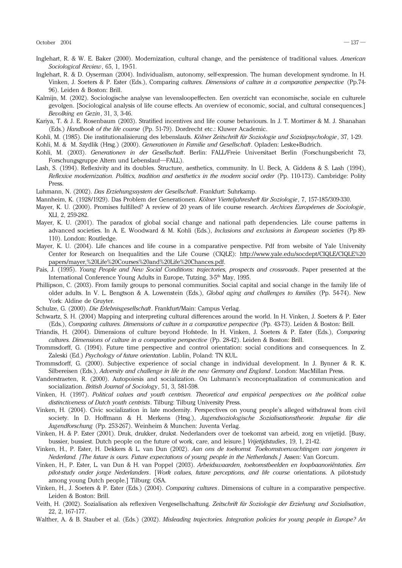- Inglehart, R. & W. E. Baker (2000). Modernization, cultural change, and the persistence of traditional values. *American Sociological Review*,65,1,19-51.
- Inglehart, R. & D. Oyserman (2004). Individualism, autonomy, self-expression. The human development syndrome. In H. Vinken, J. Soeters & P. Ester (Eds.), Comparing *cultures. Dimensions of culture in a comparative perspective* (Pp.74-96). Leiden & Boston: Brill.
- Kalmijn, M. (2002). Sociologische analyse van levensloopeffecten. Een overzicht van economische, sociale en culturele gevolgen. [Sociological analysis of life course effects. An overview of economic,social,and cultural consequences.] *Bevolking en Gezin*,31,3,3-46.
- Kariya, T. & J. E. Rosenbaum (2003). Stratified incentives and life course behaviours. In J. T. Mortimer & M. J. Shanahan (Eds.) *Handbook of the life course* (Pp. 51-79). Dordrecht etc.: Kluwer Academic.
- Kohli,M. (1985). Die institutionalisierung des lebenslaufs. *Kölner Zeitschrift für Soziologie und Sozialpsychologie*,37,1-29.
- Kohli,M. & M. Szydlik (Hrsg.) (2000). *Generationen in Familie und Gesellschaft*. Opladen: Leske+Budrich.
- Kohli, M. (2003). *Generationen in der Gesellschaft*. Berlin: FALL/Freie Universitaet Berlin (Forschungsbericht 73, Forschungsgruppe Altern und Lebenslauf―FALL).
- Lash, S. (1994). Reflexivity and its doubles. Structure, aesthetics, community. In U. Beck, A. Giddens & S. Lash (1994), *Reflexive modernization. Politics, tradition and aesthetics in the modern social order* (Pp. 110-173). Cambridge: Polity Press.
- Luhmann,N. (2002). *Das Erziehungssystem der Gesellschaft*. Frankfurt: Suhrkamp.
- Mannheim,K. (1928/1929). Das Problem der Generationen. *Kölner Vierteljahresheft für Soziologie*,7,157-185/309-330.
- Mayer,K. U. (2000). Promises fulfilled? A review of 20 years of life course research. *Archives Européenes de Sociologie*, XLI,2,259-282.
- Mayer, K. U. (2001). The paradox of global social change and national path dependencies. Life course patterns in advanced societies. In A. E. Woodward & M. Kohli (Eds.), *Inclusions and exclusions in European societies* (Pp 89- 110). London: Routledge.
- Mayer, K. U. (2004). Life chances and life course in a comparative perspective. Pdf from website of Yale University Center for Research on Inequalities and the Life Course (CIQLE): http://www.yale.edu/socdept/CIQLE/CIQLE%20 papers/mayer,%20Life%20Courses%20and%20Life%20Chances.pdf.
- Pais, J. (1995). *Young People and New Social Conditions: trajectories, prospects and crossroads*. Paper presented at the International Conference Young Adults in Europe, Tutzing, 3-5<sup>th</sup> May, 1995.
- Phillipson, C. (2003). From family groups to personal communities. Social capital and social change in the family life of older adults. In V. L. Bengtson & A. Lowenstein (Eds.), *Global aging and challenges to families* (Pp. 54-74). New York: Aldine de Gruyter.
- Schulze,G. (2000). *Die Erlebnisgesellschaft*. Frankfurt/Main: Campus Verlag.
- Schwartz, S. H. (2004) Mapping and interpreting cultural differences around the world. In H. Vinken, J. Soeters & P. Ester (Eds.), *Comparing cultures. Dimensions of culture in a comparative perspective* (Pp. 43-73). Leiden & Boston: Brill.
- Triandis,H. (2004). Dimensions of culture beyond Hofstede. In H. Vinken,J. Soeters & P. Ester (Eds.), *Comparing cultures. Dimensions of culture in a comparative perspective* (Pp. 28-42). Leiden & Boston: Brill.
- Trommsdorff,G. (1994). Future time perspective and control orientation: social conditions and consequences. In Z. Zaleski (Ed.) *Psychology of future orientation*. Lublin, Poland: TN KUL.
- Trommsdorff,G. (2000). Subjective experience of social change in individual development. In J. Bynner & R. K. Silbereisen (Eds.), *Adversity and challenge in life in the new Germany and England*. London: MacMillan Press.
- Vanderstraeten, R. (2000). Autopoiesis and socialization. On Luhmann's reconceptualization of communication and socialization. *British Journal of Sociology*, 51, 3, 581-598.
- Vinken, H. (1997). Political values and youth centrism. Theoretical and empirical perspectives on the political value *distinctiveness of Dutch youth centrists*. Tilburg: Tilburg University Press.
- Vinken,H. (2004). Civic socialization in late modernity. Perspectives on young people's alleged withdrawal from civil society. In D. Hoffmann & H. Merkens (Hrsg.), *Jugendsoziologische Sozialisationstheorie. Impulse für die Jugendforschung* (Pp. 253-267). Weinheim & Munchen: Juventa Verlag.
- Vinken, H. & P. Ester (2001). Druk, drukker, drukst. Nederlanders over de toekomst van arbeid, zorg en vrijetijd. [Busy, bussier, bussiest. Dutch people on the future of work, care, and leisure.] *Vrijetijdstudies*, 19, 1, 21-42.
- Vinken,H.,P. Ester,H. Dekkers & L. van Dun (2002). *Aan ons de toekomst. Toekomstverwachtingen van jongeren in Nederland. [The future is ours. Future expectations of young people in the Netherlands.]* Assen: Van Gorcum.
- Vinken,H.,P. Ester,L. van Dun & H. van Poppel (2003). *Arbeidswaarden, toekomstbeelden en loopbaanoriëntaties. Een pilot-studyonder jonge Nederlanders*. [*Work values, future perceptions, and life course* orientations. A pilot-study among young Dutch people.] Tilburg: OSA.
- Vinken,H.,J. Soeters & P. Ester (Eds.) (2004). *Comparing cultures*. Dimensions of culture in a comparative perspective. Leiden & Boston: Brill.
- Veith,H. (2002). Sozialisation als reflexiven Vergesellschaftung. *Zeitschrift für Soziologie der Erziehung und Sozialisation*, 22,2,167-177.
- Walther,A. & B. Stauber et al. (Eds.) (2002). *Misleading trajectories. Integration policies for young people in Europe? An*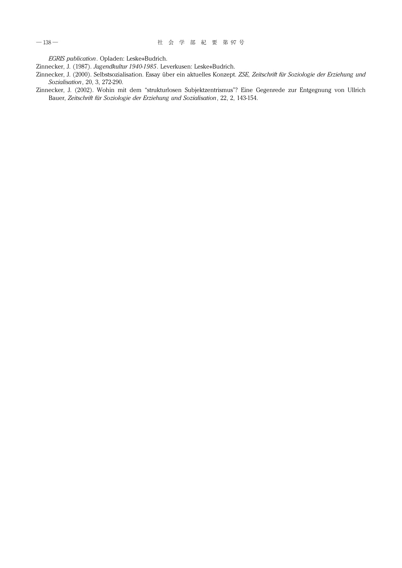*EGRIS publication*. Opladen: Leske+Budrich.

Zinnecker,J. (1987). *Jugendkultur 1940-1985*. Leverkusen: Leske+Budrich.

- Zinnecker,J. (2000). Selbstsozialisation. Essay über ein aktuelles Konzept. *ZSE, Zeitschrift für Soziologie der Erziehung und Sozialisation*,20,3,272-290.
- Zinnecker, J. (2002). Wohin mit dem "strukturlosen Subjektzentrismus"? Eine Gegenrede zur Entgegnung von Ullrich Bauer, *Zeitschrift für Soziologie der Erziehung und Sozialisation*,22,2,143-154.